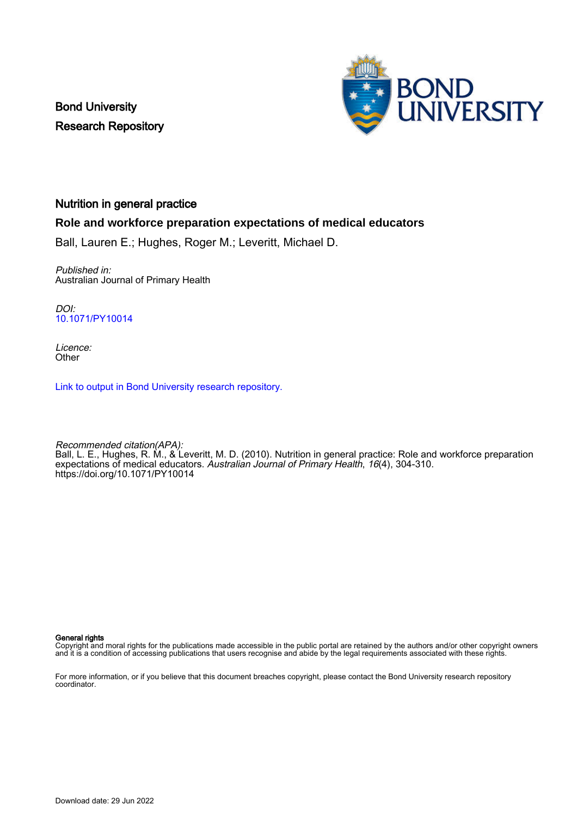Bond University Research Repository



# Nutrition in general practice

## **Role and workforce preparation expectations of medical educators**

Ball, Lauren E.; Hughes, Roger M.; Leveritt, Michael D.

Published in: Australian Journal of Primary Health

DOI: [10.1071/PY10014](https://doi.org/10.1071/PY10014)

Licence: **Other** 

[Link to output in Bond University research repository.](https://research.bond.edu.au/en/publications/3333ed24-853b-4f5f-bb69-acd95d940688)

Recommended citation(APA): Ball, L. E., Hughes, R. M., & Leveritt, M. D. (2010). Nutrition in general practice: Role and workforce preparation expectations of medical educators. Australian Journal of Primary Health, 16(4), 304-310. <https://doi.org/10.1071/PY10014>

General rights

Copyright and moral rights for the publications made accessible in the public portal are retained by the authors and/or other copyright owners and it is a condition of accessing publications that users recognise and abide by the legal requirements associated with these rights.

For more information, or if you believe that this document breaches copyright, please contact the Bond University research repository coordinator.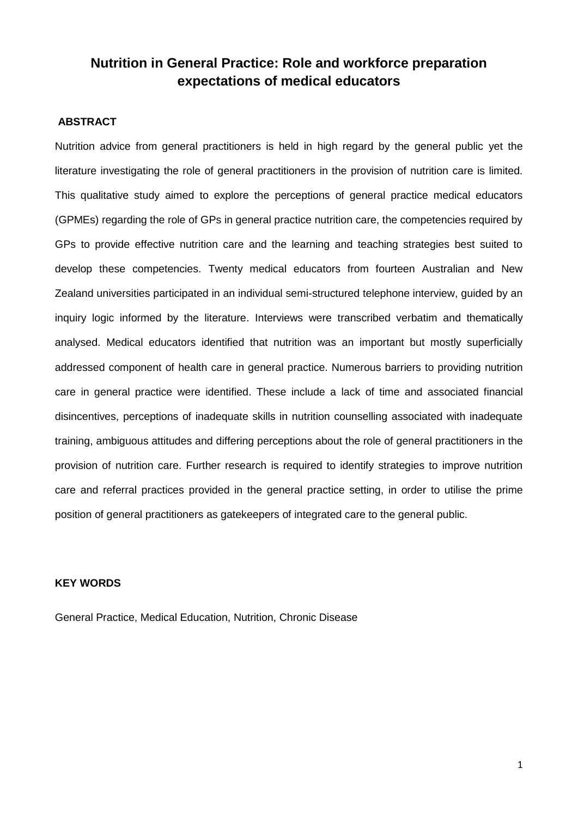# **Nutrition in General Practice: Role and workforce preparation expectations of medical educators**

## **ABSTRACT**

Nutrition advice from general practitioners is held in high regard by the general public yet the literature investigating the role of general practitioners in the provision of nutrition care is limited. This qualitative study aimed to explore the perceptions of general practice medical educators (GPMEs) regarding the role of GPs in general practice nutrition care, the competencies required by GPs to provide effective nutrition care and the learning and teaching strategies best suited to develop these competencies. Twenty medical educators from fourteen Australian and New Zealand universities participated in an individual semi-structured telephone interview, guided by an inquiry logic informed by the literature. Interviews were transcribed verbatim and thematically analysed. Medical educators identified that nutrition was an important but mostly superficially addressed component of health care in general practice. Numerous barriers to providing nutrition care in general practice were identified. These include a lack of time and associated financial disincentives, perceptions of inadequate skills in nutrition counselling associated with inadequate training, ambiguous attitudes and differing perceptions about the role of general practitioners in the provision of nutrition care. Further research is required to identify strategies to improve nutrition care and referral practices provided in the general practice setting, in order to utilise the prime position of general practitioners as gatekeepers of integrated care to the general public.

## **KEY WORDS**

General Practice, Medical Education, Nutrition, Chronic Disease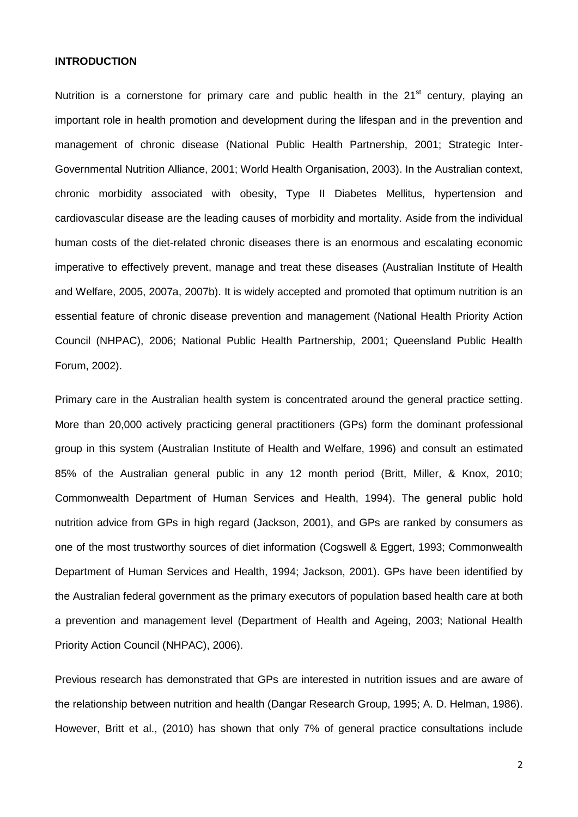#### **INTRODUCTION**

Nutrition is a cornerstone for primary care and public health in the  $21<sup>st</sup>$  century, playing an important role in health promotion and development during the lifespan and in the prevention and management of chronic disease (National Public Health Partnership, 2001; Strategic Inter-Governmental Nutrition Alliance, 2001; World Health Organisation, 2003). In the Australian context, chronic morbidity associated with obesity, Type II Diabetes Mellitus, hypertension and cardiovascular disease are the leading causes of morbidity and mortality. Aside from the individual human costs of the diet-related chronic diseases there is an enormous and escalating economic imperative to effectively prevent, manage and treat these diseases (Australian Institute of Health and Welfare, 2005, 2007a, 2007b). It is widely accepted and promoted that optimum nutrition is an essential feature of chronic disease prevention and management (National Health Priority Action Council (NHPAC), 2006; National Public Health Partnership, 2001; Queensland Public Health Forum, 2002).

Primary care in the Australian health system is concentrated around the general practice setting. More than 20,000 actively practicing general practitioners (GPs) form the dominant professional group in this system (Australian Institute of Health and Welfare, 1996) and consult an estimated 85% of the Australian general public in any 12 month period (Britt, Miller, & Knox, 2010; Commonwealth Department of Human Services and Health, 1994). The general public hold nutrition advice from GPs in high regard (Jackson, 2001), and GPs are ranked by consumers as one of the most trustworthy sources of diet information (Cogswell & Eggert, 1993; Commonwealth Department of Human Services and Health, 1994; Jackson, 2001). GPs have been identified by the Australian federal government as the primary executors of population based health care at both a prevention and management level (Department of Health and Ageing, 2003; National Health Priority Action Council (NHPAC), 2006).

Previous research has demonstrated that GPs are interested in nutrition issues and are aware of the relationship between nutrition and health (Dangar Research Group, 1995; A. D. Helman, 1986). However, Britt et al., (2010) has shown that only 7% of general practice consultations include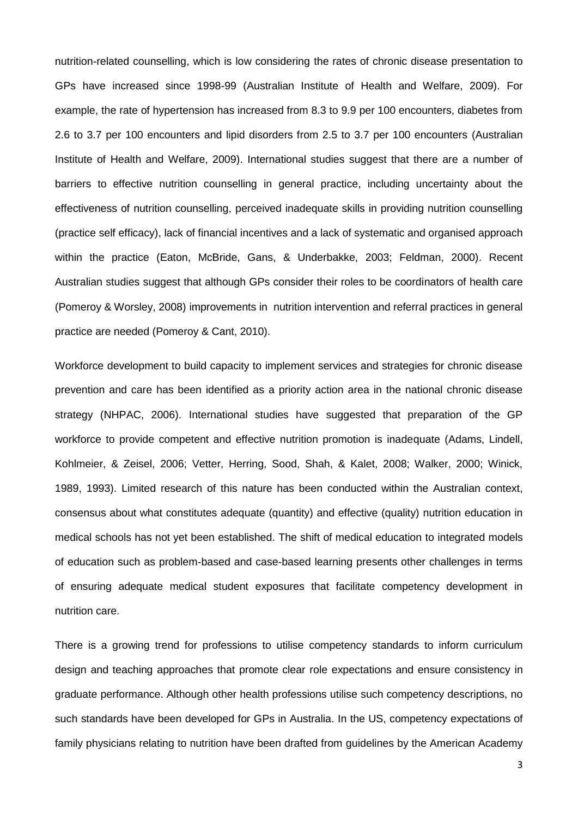nutrition-related counselling, which is low considering the rates of chronic disease presentation to GPs have increased since 1998-99 (Australian Institute of Health and Welfare, 2009). For example, the rate of hypertension has increased from 8.3 to 9.9 per 100 encounters, diabetes from 2.6 to 3.7 per 100 encounters and lipid disorders from 2.5 to 3.7 per 100 encounters (Australian Institute of Health and Welfare, 2009). International studies suggest that there are a number of barriers to effective nutrition counselling in general practice, including uncertainty about the effectiveness of nutrition counselling, perceived inadequate skills in providing nutrition counselling (practice self efficacy), lack of financial incentives and a lack of systematic and organised approach within the practice (Eaton, McBride, Gans, & Underbakke, 2003; Feldman, 2000). Recent Australian studies suggest that although GPs consider their roles to be coordinators of health care (Pomeroy & Worsley, 2008) improvements in nutrition intervention and referral practices in general practice are needed (Pomeroy & Cant, 2010).

Workforce development to build capacity to implement services and strategies for chronic disease prevention and care has been identified as a priority action area in the national chronic disease strategy (NHPAC, 2006). International studies have suggested that preparation of the GP workforce to provide competent and effective nutrition promotion is inadequate (Adams, Lindell, Kohlmeier, & Zeisel, 2006; Vetter, Herring, Sood, Shah, & Kalet, 2008; Walker, 2000; Winick, 1989, 1993). Limited research of this nature has been conducted within the Australian context, consensus about what constitutes adequate (quantity) and effective (quality) nutrition education in medical schools has not yet been established. The shift of medical education to integrated models of education such as problem-based and case-based learning presents other challenges in terms of ensuring adequate medical student exposures that facilitate competency development in nutrition care.

There is a growing trend for professions to utilise competency standards to inform curriculum design and teaching approaches that promote clear role expectations and ensure consistency in graduate performance. Although other health professions utilise such competency descriptions, no such standards have been developed for GPs in Australia. In the US, competency expectations of family physicians relating to nutrition have been drafted from guidelines by the American Academy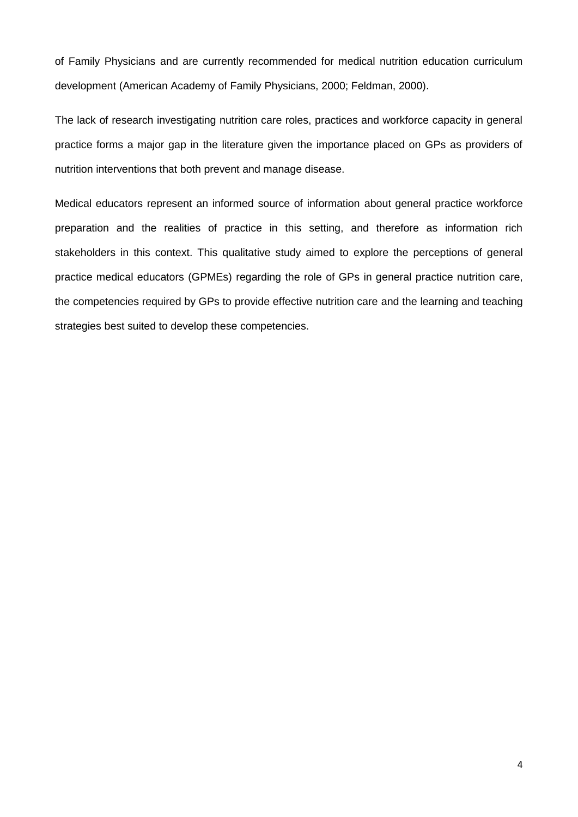of Family Physicians and are currently recommended for medical nutrition education curriculum development (American Academy of Family Physicians, 2000; Feldman, 2000).

The lack of research investigating nutrition care roles, practices and workforce capacity in general practice forms a major gap in the literature given the importance placed on GPs as providers of nutrition interventions that both prevent and manage disease.

Medical educators represent an informed source of information about general practice workforce preparation and the realities of practice in this setting, and therefore as information rich stakeholders in this context. This qualitative study aimed to explore the perceptions of general practice medical educators (GPMEs) regarding the role of GPs in general practice nutrition care, the competencies required by GPs to provide effective nutrition care and the learning and teaching strategies best suited to develop these competencies.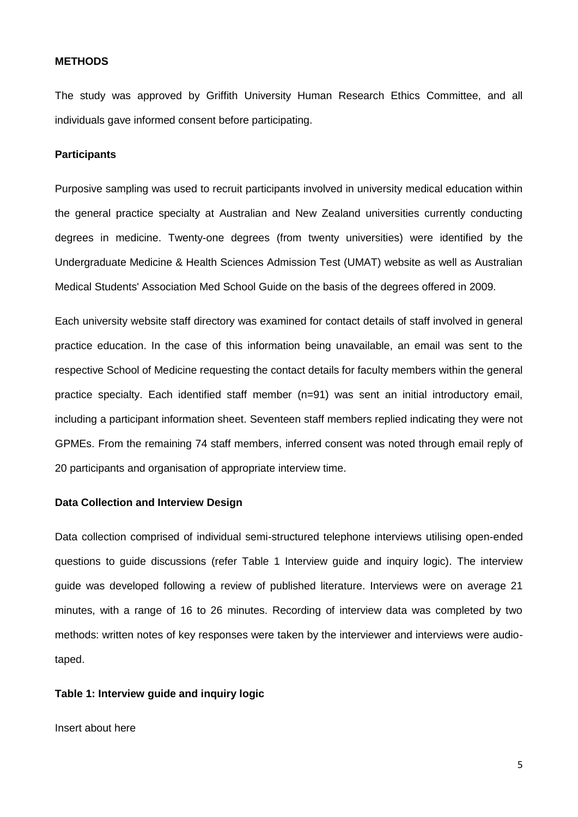#### **METHODS**

The study was approved by Griffith University Human Research Ethics Committee, and all individuals gave informed consent before participating.

## **Participants**

Purposive sampling was used to recruit participants involved in university medical education within the general practice specialty at Australian and New Zealand universities currently conducting degrees in medicine. Twenty-one degrees (from twenty universities) were identified by the Undergraduate Medicine & Health Sciences Admission Test (UMAT) website as well as Australian Medical Students' Association Med School Guide on the basis of the degrees offered in 2009.

Each university website staff directory was examined for contact details of staff involved in general practice education. In the case of this information being unavailable, an email was sent to the respective School of Medicine requesting the contact details for faculty members within the general practice specialty. Each identified staff member (n=91) was sent an initial introductory email, including a participant information sheet. Seventeen staff members replied indicating they were not GPMEs. From the remaining 74 staff members, inferred consent was noted through email reply of 20 participants and organisation of appropriate interview time.

#### **Data Collection and Interview Design**

Data collection comprised of individual semi-structured telephone interviews utilising open-ended questions to guide discussions (refer Table 1 Interview guide and inquiry logic). The interview guide was developed following a review of published literature. Interviews were on average 21 minutes, with a range of 16 to 26 minutes. Recording of interview data was completed by two methods: written notes of key responses were taken by the interviewer and interviews were audiotaped.

#### **Table 1: Interview guide and inquiry logic**

Insert about here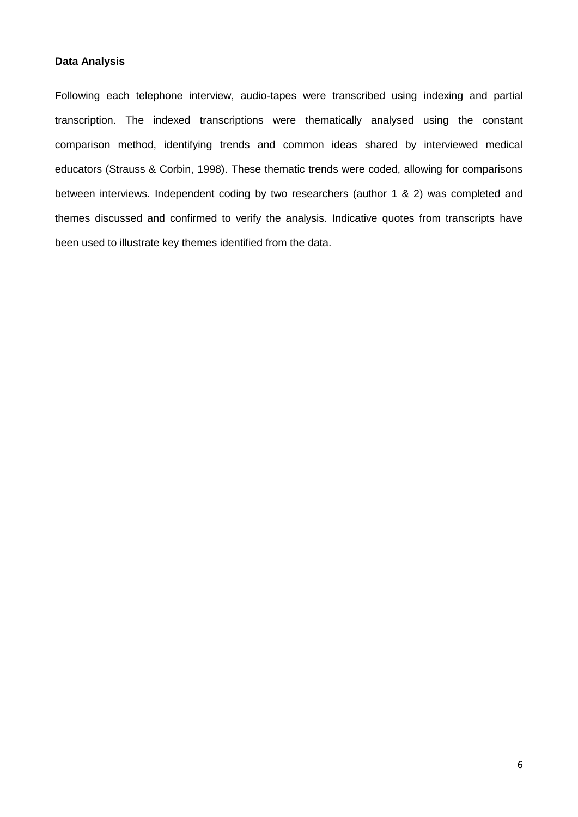### **Data Analysis**

Following each telephone interview, audio-tapes were transcribed using indexing and partial transcription. The indexed transcriptions were thematically analysed using the constant comparison method, identifying trends and common ideas shared by interviewed medical educators (Strauss & Corbin, 1998). These thematic trends were coded, allowing for comparisons between interviews. Independent coding by two researchers (author 1 & 2) was completed and themes discussed and confirmed to verify the analysis. Indicative quotes from transcripts have been used to illustrate key themes identified from the data.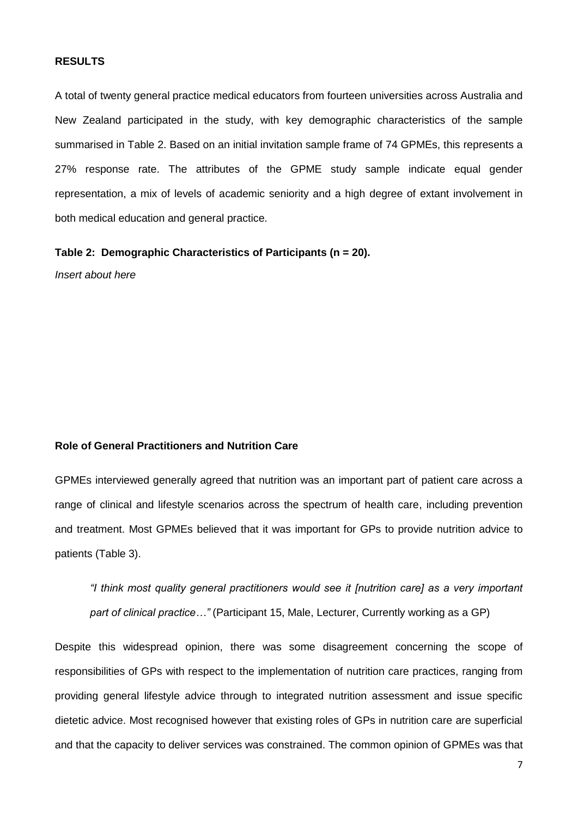#### **RESULTS**

A total of twenty general practice medical educators from fourteen universities across Australia and New Zealand participated in the study, with key demographic characteristics of the sample summarised in Table 2. Based on an initial invitation sample frame of 74 GPMEs, this represents a 27% response rate. The attributes of the GPME study sample indicate equal gender representation, a mix of levels of academic seniority and a high degree of extant involvement in both medical education and general practice.

**Table 2: Demographic Characteristics of Participants (n = 20).** 

*Insert about here*

# **Role of General Practitioners and Nutrition Care**

GPMEs interviewed generally agreed that nutrition was an important part of patient care across a range of clinical and lifestyle scenarios across the spectrum of health care, including prevention and treatment. Most GPMEs believed that it was important for GPs to provide nutrition advice to patients (Table 3).

*"I think most quality general practitioners would see it [nutrition care] as a very important part of clinical practice…"* (Participant 15, Male, Lecturer, Currently working as a GP)

Despite this widespread opinion, there was some disagreement concerning the scope of responsibilities of GPs with respect to the implementation of nutrition care practices, ranging from providing general lifestyle advice through to integrated nutrition assessment and issue specific dietetic advice. Most recognised however that existing roles of GPs in nutrition care are superficial and that the capacity to deliver services was constrained. The common opinion of GPMEs was that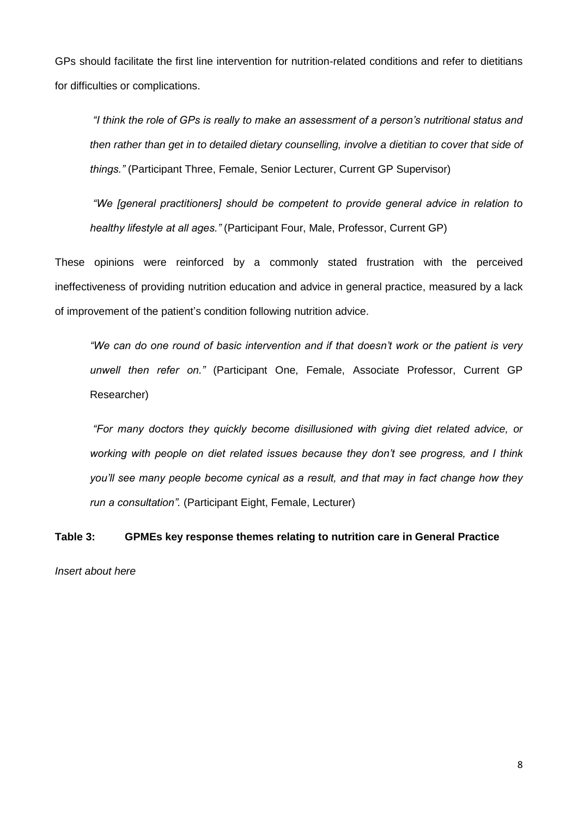GPs should facilitate the first line intervention for nutrition-related conditions and refer to dietitians for difficulties or complications.

*"I think the role of GPs is really to make an assessment of a person's nutritional status and then rather than get in to detailed dietary counselling, involve a dietitian to cover that side of things."* (Participant Three, Female, Senior Lecturer, Current GP Supervisor)

*"We [general practitioners] should be competent to provide general advice in relation to healthy lifestyle at all ages."* (Participant Four, Male, Professor, Current GP)

These opinions were reinforced by a commonly stated frustration with the perceived ineffectiveness of providing nutrition education and advice in general practice, measured by a lack of improvement of the patient's condition following nutrition advice.

*"We can do one round of basic intervention and if that doesn't work or the patient is very unwell then refer on."* (Participant One, Female, Associate Professor, Current GP Researcher)

*"For many doctors they quickly become disillusioned with giving diet related advice, or working with people on diet related issues because they don't see progress, and I think you'll see many people become cynical as a result, and that may in fact change how they run a consultation".* (Participant Eight, Female, Lecturer)

**Table 3: GPMEs key response themes relating to nutrition care in General Practice**

*Insert about here*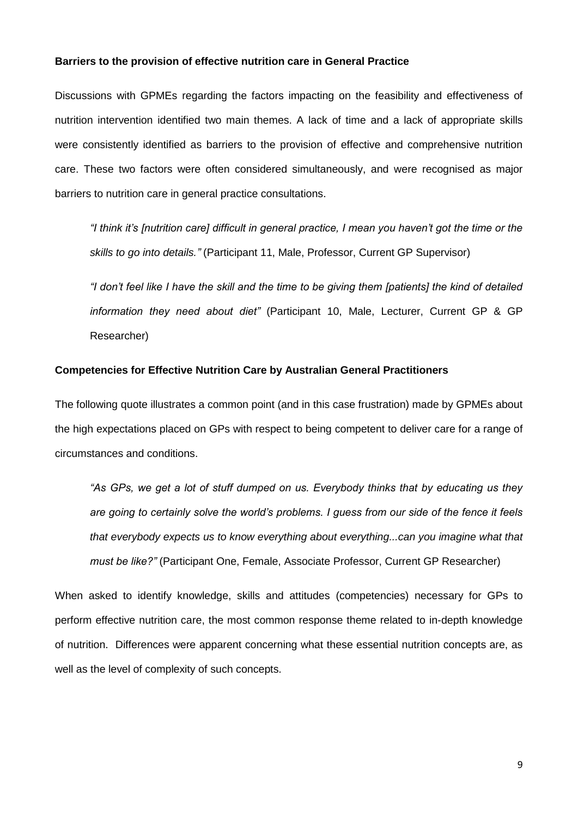### **Barriers to the provision of effective nutrition care in General Practice**

Discussions with GPMEs regarding the factors impacting on the feasibility and effectiveness of nutrition intervention identified two main themes. A lack of time and a lack of appropriate skills were consistently identified as barriers to the provision of effective and comprehensive nutrition care. These two factors were often considered simultaneously, and were recognised as major barriers to nutrition care in general practice consultations.

*"I think it's [nutrition care] difficult in general practice, I mean you haven't got the time or the skills to go into details."* (Participant 11, Male, Professor, Current GP Supervisor)

*"I don't feel like I have the skill and the time to be giving them [patients] the kind of detailed information they need about diet"* (Participant 10, Male, Lecturer, Current GP & GP Researcher)

#### **Competencies for Effective Nutrition Care by Australian General Practitioners**

The following quote illustrates a common point (and in this case frustration) made by GPMEs about the high expectations placed on GPs with respect to being competent to deliver care for a range of circumstances and conditions.

*"As GPs, we get a lot of stuff dumped on us. Everybody thinks that by educating us they are going to certainly solve the world's problems. I guess from our side of the fence it feels that everybody expects us to know everything about everything...can you imagine what that must be like?"* (Participant One, Female, Associate Professor, Current GP Researcher)

When asked to identify knowledge, skills and attitudes (competencies) necessary for GPs to perform effective nutrition care, the most common response theme related to in-depth knowledge of nutrition. Differences were apparent concerning what these essential nutrition concepts are, as well as the level of complexity of such concepts.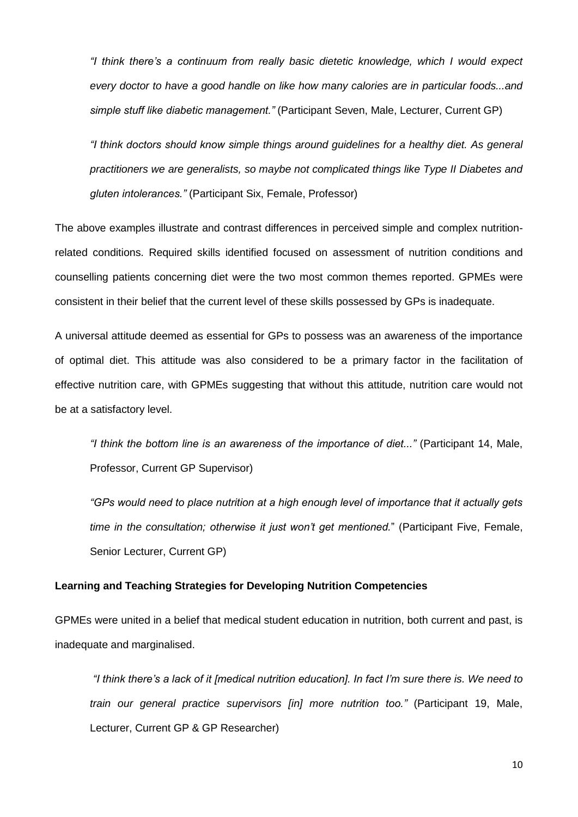*"I think there's a continuum from really basic dietetic knowledge, which I would expect every doctor to have a good handle on like how many calories are in particular foods...and simple stuff like diabetic management."* (Participant Seven, Male, Lecturer, Current GP)

*"I think doctors should know simple things around guidelines for a healthy diet. As general practitioners we are generalists, so maybe not complicated things like Type II Diabetes and gluten intolerances."* (Participant Six, Female, Professor)

The above examples illustrate and contrast differences in perceived simple and complex nutritionrelated conditions. Required skills identified focused on assessment of nutrition conditions and counselling patients concerning diet were the two most common themes reported. GPMEs were consistent in their belief that the current level of these skills possessed by GPs is inadequate.

A universal attitude deemed as essential for GPs to possess was an awareness of the importance of optimal diet. This attitude was also considered to be a primary factor in the facilitation of effective nutrition care, with GPMEs suggesting that without this attitude, nutrition care would not be at a satisfactory level.

*"I think the bottom line is an awareness of the importance of diet..."* (Participant 14, Male, Professor, Current GP Supervisor)

*"GPs would need to place nutrition at a high enough level of importance that it actually gets time in the consultation; otherwise it just won't get mentioned.*" (Participant Five, Female, Senior Lecturer, Current GP)

#### **Learning and Teaching Strategies for Developing Nutrition Competencies**

GPMEs were united in a belief that medical student education in nutrition, both current and past, is inadequate and marginalised.

*"I think there's a lack of it [medical nutrition education]. In fact I'm sure there is. We need to train our general practice supervisors [in] more nutrition too."* (Participant 19, Male, Lecturer, Current GP & GP Researcher)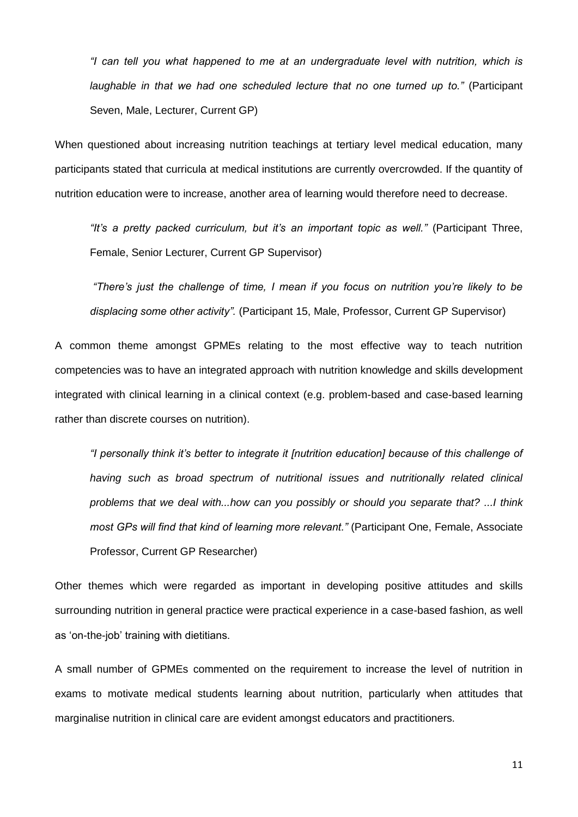*"I can tell you what happened to me at an undergraduate level with nutrition, which is laughable in that we had one scheduled lecture that no one turned up to."* (Participant Seven, Male, Lecturer, Current GP)

When questioned about increasing nutrition teachings at tertiary level medical education, many participants stated that curricula at medical institutions are currently overcrowded. If the quantity of nutrition education were to increase, another area of learning would therefore need to decrease.

*"It's a pretty packed curriculum, but it's an important topic as well."* (Participant Three, Female, Senior Lecturer, Current GP Supervisor)

*"There's just the challenge of time, I mean if you focus on nutrition you're likely to be displacing some other activity".* (Participant 15, Male, Professor, Current GP Supervisor)

A common theme amongst GPMEs relating to the most effective way to teach nutrition competencies was to have an integrated approach with nutrition knowledge and skills development integrated with clinical learning in a clinical context (e.g. problem-based and case-based learning rather than discrete courses on nutrition).

*"I personally think it's better to integrate it [nutrition education] because of this challenge of having such as broad spectrum of nutritional issues and nutritionally related clinical problems that we deal with...how can you possibly or should you separate that? ...I think most GPs will find that kind of learning more relevant."* (Participant One, Female, Associate Professor, Current GP Researcher)

Other themes which were regarded as important in developing positive attitudes and skills surrounding nutrition in general practice were practical experience in a case-based fashion, as well as 'on-the-job' training with dietitians.

A small number of GPMEs commented on the requirement to increase the level of nutrition in exams to motivate medical students learning about nutrition, particularly when attitudes that marginalise nutrition in clinical care are evident amongst educators and practitioners.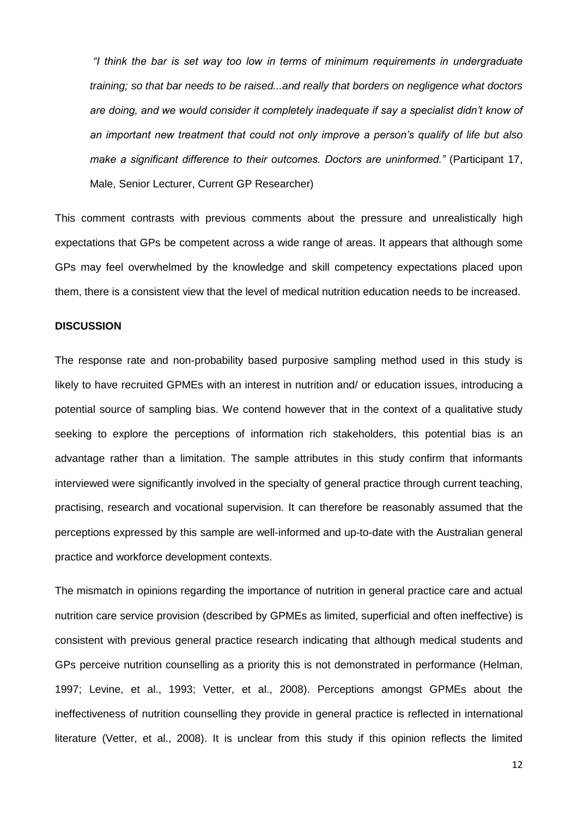*"I think the bar is set way too low in terms of minimum requirements in undergraduate training; so that bar needs to be raised...and really that borders on negligence what doctors are doing, and we would consider it completely inadequate if say a specialist didn't know of an important new treatment that could not only improve a person's qualify of life but also make a significant difference to their outcomes. Doctors are uninformed."* (Participant 17, Male, Senior Lecturer, Current GP Researcher)

This comment contrasts with previous comments about the pressure and unrealistically high expectations that GPs be competent across a wide range of areas. It appears that although some GPs may feel overwhelmed by the knowledge and skill competency expectations placed upon them, there is a consistent view that the level of medical nutrition education needs to be increased.

#### **DISCUSSION**

The response rate and non-probability based purposive sampling method used in this study is likely to have recruited GPMEs with an interest in nutrition and/ or education issues, introducing a potential source of sampling bias. We contend however that in the context of a qualitative study seeking to explore the perceptions of information rich stakeholders, this potential bias is an advantage rather than a limitation. The sample attributes in this study confirm that informants interviewed were significantly involved in the specialty of general practice through current teaching, practising, research and vocational supervision. It can therefore be reasonably assumed that the perceptions expressed by this sample are well-informed and up-to-date with the Australian general practice and workforce development contexts.

The mismatch in opinions regarding the importance of nutrition in general practice care and actual nutrition care service provision (described by GPMEs as limited, superficial and often ineffective) is consistent with previous general practice research indicating that although medical students and GPs perceive nutrition counselling as a priority this is not demonstrated in performance (Helman, 1997; Levine, et al., 1993; Vetter, et al., 2008). Perceptions amongst GPMEs about the ineffectiveness of nutrition counselling they provide in general practice is reflected in international literature (Vetter, et al., 2008). It is unclear from this study if this opinion reflects the limited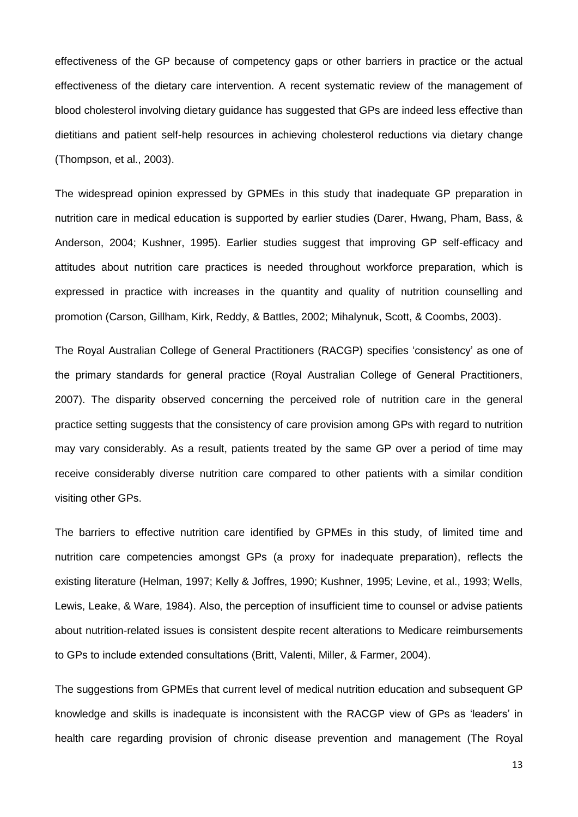effectiveness of the GP because of competency gaps or other barriers in practice or the actual effectiveness of the dietary care intervention. A recent systematic review of the management of blood cholesterol involving dietary guidance has suggested that GPs are indeed less effective than dietitians and patient self-help resources in achieving cholesterol reductions via dietary change (Thompson, et al., 2003).

The widespread opinion expressed by GPMEs in this study that inadequate GP preparation in nutrition care in medical education is supported by earlier studies (Darer, Hwang, Pham, Bass, & Anderson, 2004; Kushner, 1995). Earlier studies suggest that improving GP self-efficacy and attitudes about nutrition care practices is needed throughout workforce preparation, which is expressed in practice with increases in the quantity and quality of nutrition counselling and promotion (Carson, Gillham, Kirk, Reddy, & Battles, 2002; Mihalynuk, Scott, & Coombs, 2003).

The Royal Australian College of General Practitioners (RACGP) specifies 'consistency' as one of the primary standards for general practice (Royal Australian College of General Practitioners, 2007). The disparity observed concerning the perceived role of nutrition care in the general practice setting suggests that the consistency of care provision among GPs with regard to nutrition may vary considerably. As a result, patients treated by the same GP over a period of time may receive considerably diverse nutrition care compared to other patients with a similar condition visiting other GPs.

The barriers to effective nutrition care identified by GPMEs in this study, of limited time and nutrition care competencies amongst GPs (a proxy for inadequate preparation), reflects the existing literature (Helman, 1997; Kelly & Joffres, 1990; Kushner, 1995; Levine, et al., 1993; Wells, Lewis, Leake, & Ware, 1984). Also, the perception of insufficient time to counsel or advise patients about nutrition-related issues is consistent despite recent alterations to Medicare reimbursements to GPs to include extended consultations (Britt, Valenti, Miller, & Farmer, 2004).

The suggestions from GPMEs that current level of medical nutrition education and subsequent GP knowledge and skills is inadequate is inconsistent with the RACGP view of GPs as 'leaders' in health care regarding provision of chronic disease prevention and management (The Royal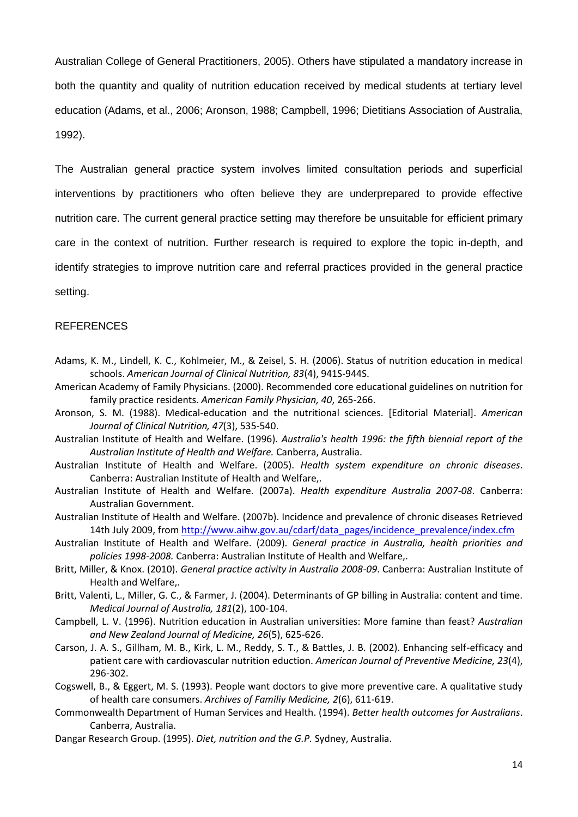Australian College of General Practitioners, 2005). Others have stipulated a mandatory increase in both the quantity and quality of nutrition education received by medical students at tertiary level education (Adams, et al., 2006; Aronson, 1988; Campbell, 1996; Dietitians Association of Australia, 1992).

The Australian general practice system involves limited consultation periods and superficial interventions by practitioners who often believe they are underprepared to provide effective nutrition care. The current general practice setting may therefore be unsuitable for efficient primary care in the context of nutrition. Further research is required to explore the topic in-depth, and identify strategies to improve nutrition care and referral practices provided in the general practice setting.

#### REFERENCES

- Adams, K. M., Lindell, K. C., Kohlmeier, M., & Zeisel, S. H. (2006). Status of nutrition education in medical schools. *American Journal of Clinical Nutrition, 83*(4), 941S-944S.
- American Academy of Family Physicians. (2000). Recommended core educational guidelines on nutrition for family practice residents. *American Family Physician, 40*, 265-266.
- Aronson, S. M. (1988). Medical-education and the nutritional sciences. [Editorial Material]. *American Journal of Clinical Nutrition, 47*(3), 535-540.
- Australian Institute of Health and Welfare. (1996). *Australia's health 1996: the fifth biennial report of the Australian Institute of Health and Welfare.* Canberra, Australia.
- Australian Institute of Health and Welfare. (2005). *Health system expenditure on chronic diseases*. Canberra: Australian Institute of Health and Welfare,.
- Australian Institute of Health and Welfare. (2007a). *Health expenditure Australia 2007-08*. Canberra: Australian Government.
- Australian Institute of Health and Welfare. (2007b). Incidence and prevalence of chronic diseases Retrieved 14th July 2009, from [http://www.aihw.gov.au/cdarf/data\\_pages/incidence\\_prevalence/index.cfm](http://www.aihw.gov.au/cdarf/data_pages/incidence_prevalence/index.cfm)
- Australian Institute of Health and Welfare. (2009). *General practice in Australia, health priorities and policies 1998-2008.* Canberra: Australian Institute of Health and Welfare,.
- Britt, Miller, & Knox. (2010). *General practice activity in Australia 2008-09*. Canberra: Australian Institute of Health and Welfare,.
- Britt, Valenti, L., Miller, G. C., & Farmer, J. (2004). Determinants of GP billing in Australia: content and time. *Medical Journal of Australia, 181*(2), 100-104.
- Campbell, L. V. (1996). Nutrition education in Australian universities: More famine than feast? *Australian and New Zealand Journal of Medicine, 26*(5), 625-626.
- Carson, J. A. S., Gillham, M. B., Kirk, L. M., Reddy, S. T., & Battles, J. B. (2002). Enhancing self-efficacy and patient care with cardiovascular nutrition eduction. *American Journal of Preventive Medicine, 23*(4), 296-302.
- Cogswell, B., & Eggert, M. S. (1993). People want doctors to give more preventive care. A qualitative study of health care consumers. *Archives of Familiy Medicine, 2*(6), 611-619.
- Commonwealth Department of Human Services and Health. (1994). *Better health outcomes for Australians*. Canberra, Australia.
- Dangar Research Group. (1995). *Diet, nutrition and the G.P.* Sydney, Australia.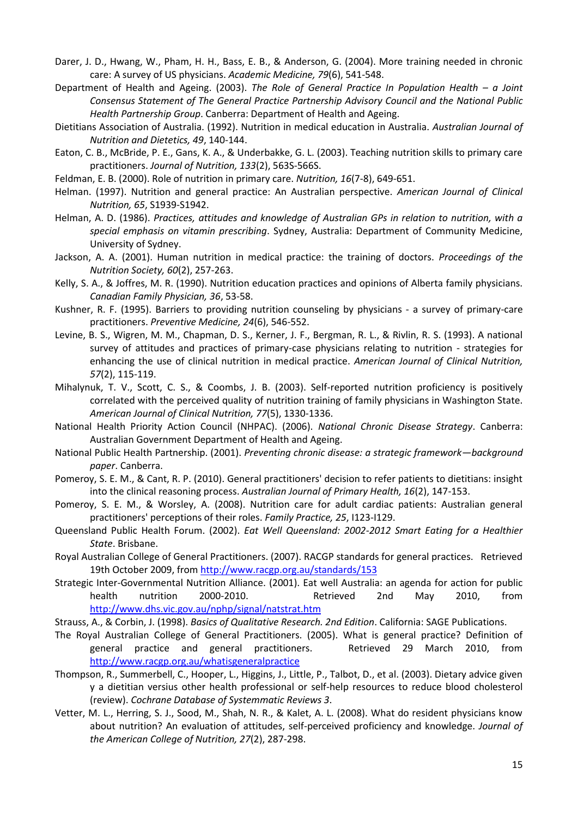- Darer, J. D., Hwang, W., Pham, H. H., Bass, E. B., & Anderson, G. (2004). More training needed in chronic care: A survey of US physicians. *Academic Medicine, 79*(6), 541-548.
- Department of Health and Ageing. (2003). *The Role of General Practice In Population Health – a Joint Consensus Statement of The General Practice Partnership Advisory Council and the National Public Health Partnership Group*. Canberra: Department of Health and Ageing.
- Dietitians Association of Australia. (1992). Nutrition in medical education in Australia. *Australian Journal of Nutrition and Dietetics, 49*, 140-144.
- Eaton, C. B., McBride, P. E., Gans, K. A., & Underbakke, G. L. (2003). Teaching nutrition skills to primary care practitioners. *Journal of Nutrition, 133*(2), 563S-566S.
- Feldman, E. B. (2000). Role of nutrition in primary care. *Nutrition, 16*(7-8), 649-651.
- Helman. (1997). Nutrition and general practice: An Australian perspective. *American Journal of Clinical Nutrition, 65*, S1939-S1942.
- Helman, A. D. (1986). *Practices, attitudes and knowledge of Australian GPs in relation to nutrition, with a special emphasis on vitamin prescribing*. Sydney, Australia: Department of Community Medicine, University of Sydney.
- Jackson, A. A. (2001). Human nutrition in medical practice: the training of doctors. *Proceedings of the Nutrition Society, 60*(2), 257-263.
- Kelly, S. A., & Joffres, M. R. (1990). Nutrition education practices and opinions of Alberta family physicians. *Canadian Family Physician, 36*, 53-58.
- Kushner, R. F. (1995). Barriers to providing nutrition counseling by physicians a survey of primary-care practitioners. *Preventive Medicine, 24*(6), 546-552.
- Levine, B. S., Wigren, M. M., Chapman, D. S., Kerner, J. F., Bergman, R. L., & Rivlin, R. S. (1993). A national survey of attitudes and practices of primary-case physicians relating to nutrition - strategies for enhancing the use of clinical nutrition in medical practice. *American Journal of Clinical Nutrition, 57*(2), 115-119.
- Mihalynuk, T. V., Scott, C. S., & Coombs, J. B. (2003). Self-reported nutrition proficiency is positively correlated with the perceived quality of nutrition training of family physicians in Washington State. *American Journal of Clinical Nutrition, 77*(5), 1330-1336.
- National Health Priority Action Council (NHPAC). (2006). *National Chronic Disease Strategy*. Canberra: Australian Government Department of Health and Ageing.
- National Public Health Partnership. (2001). *Preventing chronic disease: a strategic framework—background paper*. Canberra.
- Pomeroy, S. E. M., & Cant, R. P. (2010). General practitioners' decision to refer patients to dietitians: insight into the clinical reasoning process. *Australian Journal of Primary Health, 16*(2), 147-153.
- Pomeroy, S. E. M., & Worsley, A. (2008). Nutrition care for adult cardiac patients: Australian general practitioners' perceptions of their roles. *Family Practice, 25*, I123-I129.
- Queensland Public Health Forum. (2002). *Eat Well Queensland: 2002-2012 Smart Eating for a Healthier State*. Brisbane.
- Royal Australian College of General Practitioners. (2007). RACGP standards for general practices. Retrieved 19th October 2009, fro[m http://www.racgp.org.au/standards/153](http://www.racgp.org.au/standards/153)
- Strategic Inter-Governmental Nutrition Alliance. (2001). Eat well Australia: an agenda for action for public health nutrition 2000-2010. Retrieved 2nd May 2010, from <http://www.dhs.vic.gov.au/nphp/signal/natstrat.htm>
- Strauss, A., & Corbin, J. (1998). *Basics of Qualitative Research. 2nd Edition*. California: SAGE Publications.
- The Royal Australian College of General Practitioners. (2005). What is general practice? Definition of general practice and general practitioners. Retrieved 29 March 2010, from <http://www.racgp.org.au/whatisgeneralpractice>
- Thompson, R., Summerbell, C., Hooper, L., Higgins, J., Little, P., Talbot, D., et al. (2003). Dietary advice given y a dietitian versius other health professional or self-help resources to reduce blood cholesterol (review). *Cochrane Database of Systemmatic Reviews 3*.
- Vetter, M. L., Herring, S. J., Sood, M., Shah, N. R., & Kalet, A. L. (2008). What do resident physicians know about nutrition? An evaluation of attitudes, self-perceived proficiency and knowledge. *Journal of the American College of Nutrition, 27*(2), 287-298.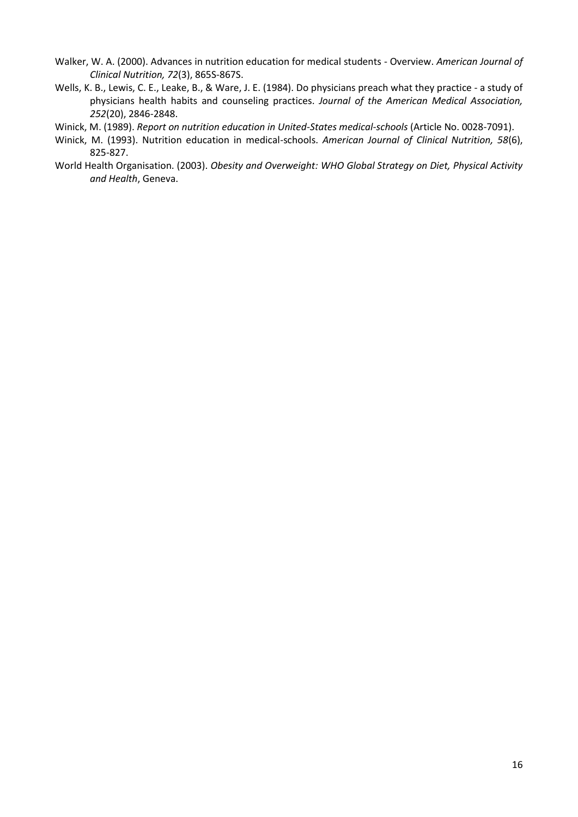- Walker, W. A. (2000). Advances in nutrition education for medical students Overview. *American Journal of Clinical Nutrition, 72*(3), 865S-867S.
- Wells, K. B., Lewis, C. E., Leake, B., & Ware, J. E. (1984). Do physicians preach what they practice a study of physicians health habits and counseling practices. *Journal of the American Medical Association, 252*(20), 2846-2848.
- Winick, M. (1989). *Report on nutrition education in United-States medical-schools* (Article No. 0028-7091).
- Winick, M. (1993). Nutrition education in medical-schools. *American Journal of Clinical Nutrition, 58*(6), 825-827.
- World Health Organisation. (2003). *Obesity and Overweight: WHO Global Strategy on Diet, Physical Activity and Health*, Geneva.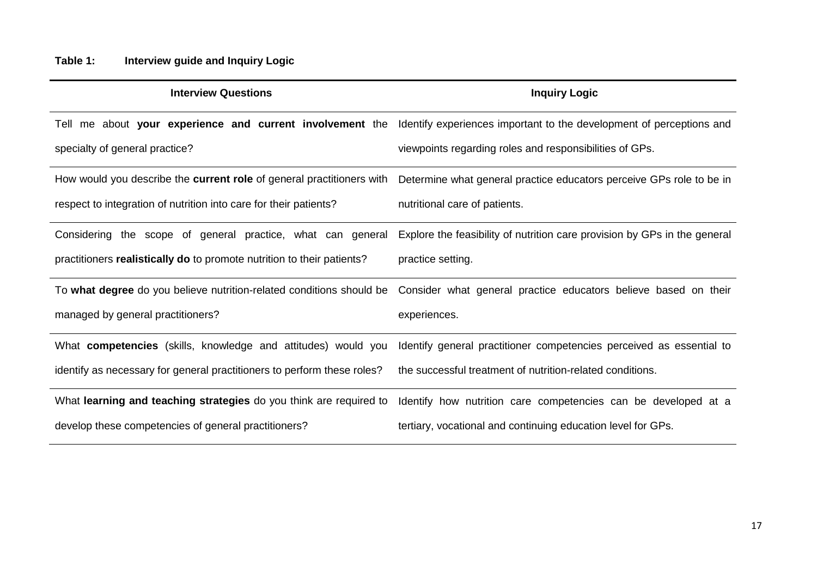| <b>Interview Questions</b>                                              | <b>Inquiry Logic</b>                                                                                                           |
|-------------------------------------------------------------------------|--------------------------------------------------------------------------------------------------------------------------------|
|                                                                         | Tell me about your experience and current involvement the Identify experiences important to the development of perceptions and |
| specialty of general practice?                                          | viewpoints regarding roles and responsibilities of GPs.                                                                        |
| How would you describe the current role of general practitioners with   | Determine what general practice educators perceive GPs role to be in                                                           |
| respect to integration of nutrition into care for their patients?       | nutritional care of patients.                                                                                                  |
| Considering the scope of general practice, what can general             | Explore the feasibility of nutrition care provision by GPs in the general                                                      |
| practitioners realistically do to promote nutrition to their patients?  | practice setting.                                                                                                              |
| To what degree do you believe nutrition-related conditions should be    | Consider what general practice educators believe based on their                                                                |
| managed by general practitioners?                                       | experiences.                                                                                                                   |
| What <b>competencies</b> (skills, knowledge and attitudes) would you    | Identify general practitioner competencies perceived as essential to                                                           |
| identify as necessary for general practitioners to perform these roles? | the successful treatment of nutrition-related conditions.                                                                      |
| What learning and teaching strategies do you think are required to      | Identify how nutrition care competencies can be developed at a                                                                 |
| develop these competencies of general practitioners?                    | tertiary, vocational and continuing education level for GPs.                                                                   |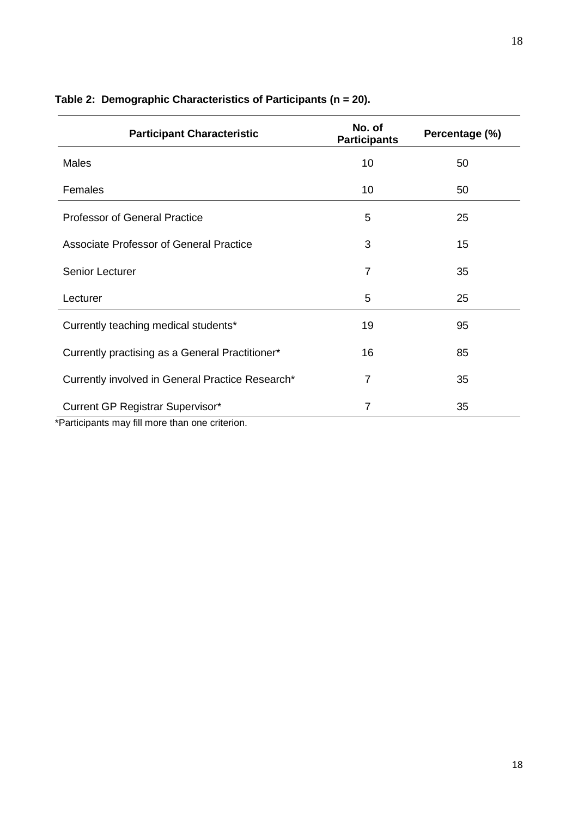| 10             | 50 |
|----------------|----|
|                |    |
| 10             | 50 |
| 5              | 25 |
| 3              | 15 |
| $\overline{7}$ | 35 |
| 5              | 25 |
| 19             | 95 |
| 16             | 85 |
| $\overline{7}$ | 35 |
| 7              | 35 |
|                |    |

# **Table 2: Demographic Characteristics of Participants (n = 20).**